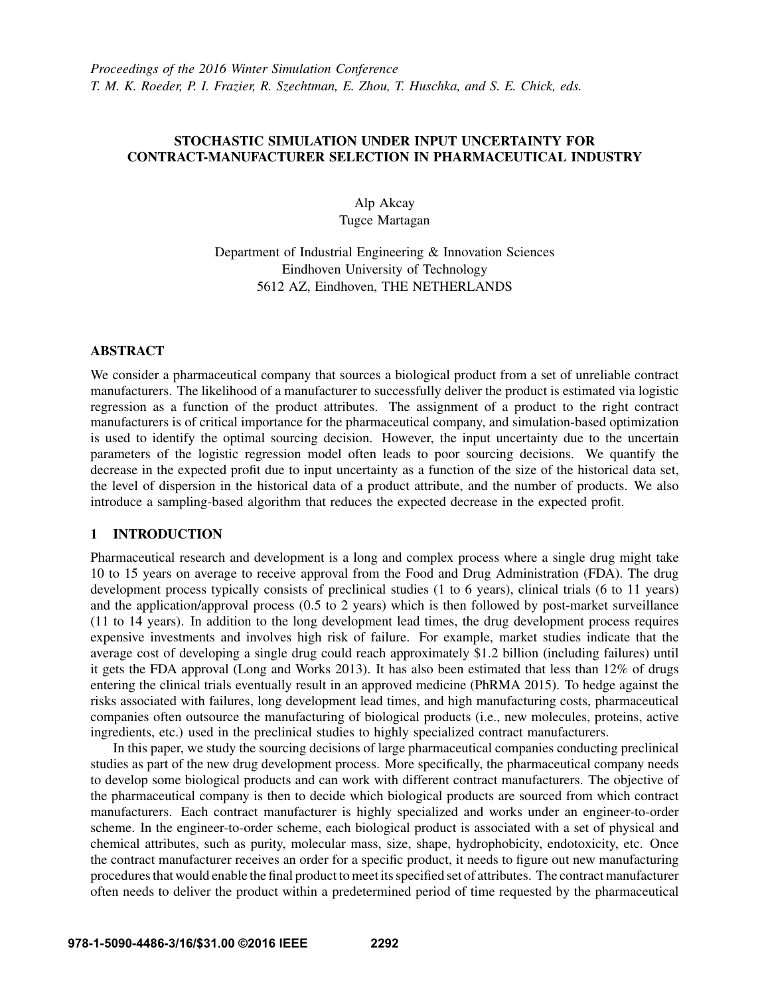# STOCHASTIC SIMULATION UNDER INPUT UNCERTAINTY FOR CONTRACT-MANUFACTURER SELECTION IN PHARMACEUTICAL INDUSTRY

Alp Akcay Tugce Martagan

Department of Industrial Engineering & Innovation Sciences Eindhoven University of Technology 5612 AZ, Eindhoven, THE NETHERLANDS

## ABSTRACT

We consider a pharmaceutical company that sources a biological product from a set of unreliable contract manufacturers. The likelihood of a manufacturer to successfully deliver the product is estimated via logistic regression as a function of the product attributes. The assignment of a product to the right contract manufacturers is of critical importance for the pharmaceutical company, and simulation-based optimization is used to identify the optimal sourcing decision. However, the input uncertainty due to the uncertain parameters of the logistic regression model often leads to poor sourcing decisions. We quantify the decrease in the expected profit due to input uncertainty as a function of the size of the historical data set, the level of dispersion in the historical data of a product attribute, and the number of products. We also introduce a sampling-based algorithm that reduces the expected decrease in the expected profit.

### 1 INTRODUCTION

Pharmaceutical research and development is a long and complex process where a single drug might take 10 to 15 years on average to receive approval from the Food and Drug Administration (FDA). The drug development process typically consists of preclinical studies (1 to 6 years), clinical trials (6 to 11 years) and the application/approval process (0.5 to 2 years) which is then followed by post-market surveillance (11 to 14 years). In addition to the long development lead times, the drug development process requires expensive investments and involves high risk of failure. For example, market studies indicate that the average cost of developing a single drug could reach approximately \$1.2 billion (including failures) until it gets the FDA approval (Long and Works 2013). It has also been estimated that less than 12% of drugs entering the clinical trials eventually result in an approved medicine (PhRMA 2015). To hedge against the risks associated with failures, long development lead times, and high manufacturing costs, pharmaceutical companies often outsource the manufacturing of biological products (i.e., new molecules, proteins, active ingredients, etc.) used in the preclinical studies to highly specialized contract manufacturers.

In this paper, we study the sourcing decisions of large pharmaceutical companies conducting preclinical studies as part of the new drug development process. More specifically, the pharmaceutical company needs to develop some biological products and can work with different contract manufacturers. The objective of the pharmaceutical company is then to decide which biological products are sourced from which contract manufacturers. Each contract manufacturer is highly specialized and works under an engineer-to-order scheme. In the engineer-to-order scheme, each biological product is associated with a set of physical and chemical attributes, such as purity, molecular mass, size, shape, hydrophobicity, endotoxicity, etc. Once the contract manufacturer receives an order for a specific product, it needs to figure out new manufacturing procedures that would enable the final product to meet its specified set of attributes. The contract manufacturer often needs to deliver the product within a predetermined period of time requested by the pharmaceutical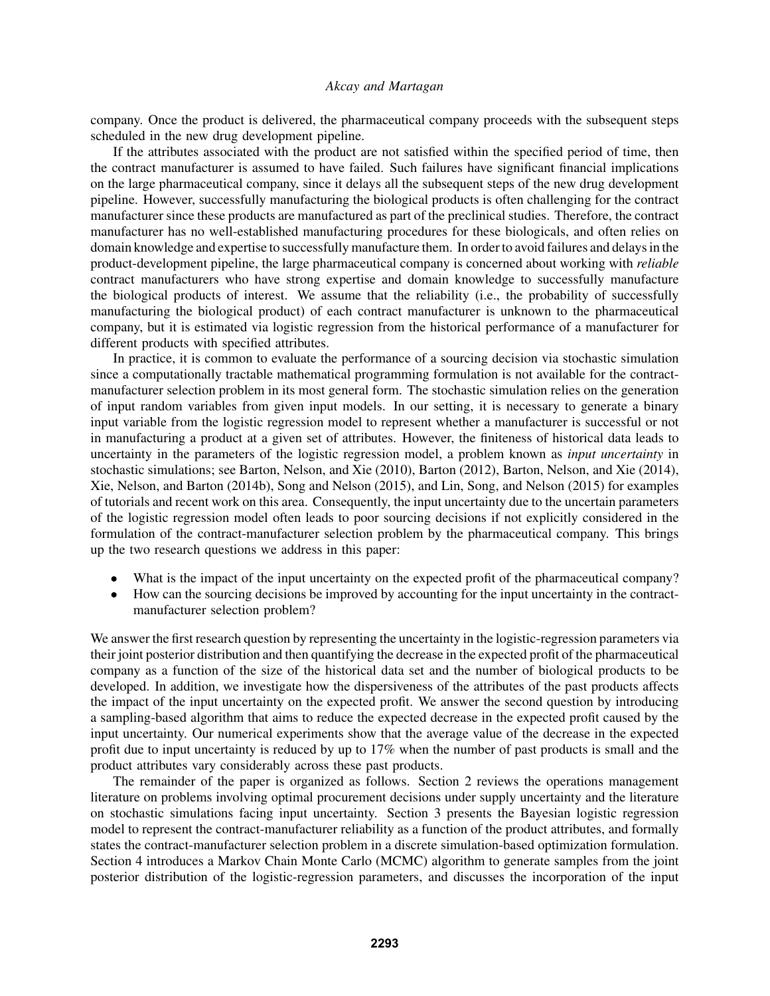company. Once the product is delivered, the pharmaceutical company proceeds with the subsequent steps scheduled in the new drug development pipeline.

If the attributes associated with the product are not satisfied within the specified period of time, then the contract manufacturer is assumed to have failed. Such failures have significant financial implications on the large pharmaceutical company, since it delays all the subsequent steps of the new drug development pipeline. However, successfully manufacturing the biological products is often challenging for the contract manufacturer since these products are manufactured as part of the preclinical studies. Therefore, the contract manufacturer has no well-established manufacturing procedures for these biologicals, and often relies on domain knowledge and expertise to successfully manufacture them. In order to avoid failures and delays in the product-development pipeline, the large pharmaceutical company is concerned about working with *reliable* contract manufacturers who have strong expertise and domain knowledge to successfully manufacture the biological products of interest. We assume that the reliability (i.e., the probability of successfully manufacturing the biological product) of each contract manufacturer is unknown to the pharmaceutical company, but it is estimated via logistic regression from the historical performance of a manufacturer for different products with specified attributes.

In practice, it is common to evaluate the performance of a sourcing decision via stochastic simulation since a computationally tractable mathematical programming formulation is not available for the contractmanufacturer selection problem in its most general form. The stochastic simulation relies on the generation of input random variables from given input models. In our setting, it is necessary to generate a binary input variable from the logistic regression model to represent whether a manufacturer is successful or not in manufacturing a product at a given set of attributes. However, the finiteness of historical data leads to uncertainty in the parameters of the logistic regression model, a problem known as *input uncertainty* in stochastic simulations; see Barton, Nelson, and Xie (2010), Barton (2012), Barton, Nelson, and Xie (2014), Xie, Nelson, and Barton (2014b), Song and Nelson (2015), and Lin, Song, and Nelson (2015) for examples of tutorials and recent work on this area. Consequently, the input uncertainty due to the uncertain parameters of the logistic regression model often leads to poor sourcing decisions if not explicitly considered in the formulation of the contract-manufacturer selection problem by the pharmaceutical company. This brings up the two research questions we address in this paper:

- What is the impact of the input uncertainty on the expected profit of the pharmaceutical company?
- How can the sourcing decisions be improved by accounting for the input uncertainty in the contractmanufacturer selection problem?

We answer the first research question by representing the uncertainty in the logistic-regression parameters via their joint posterior distribution and then quantifying the decrease in the expected profit of the pharmaceutical company as a function of the size of the historical data set and the number of biological products to be developed. In addition, we investigate how the dispersiveness of the attributes of the past products affects the impact of the input uncertainty on the expected profit. We answer the second question by introducing a sampling-based algorithm that aims to reduce the expected decrease in the expected profit caused by the input uncertainty. Our numerical experiments show that the average value of the decrease in the expected profit due to input uncertainty is reduced by up to 17% when the number of past products is small and the product attributes vary considerably across these past products.

The remainder of the paper is organized as follows. Section 2 reviews the operations management literature on problems involving optimal procurement decisions under supply uncertainty and the literature on stochastic simulations facing input uncertainty. Section 3 presents the Bayesian logistic regression model to represent the contract-manufacturer reliability as a function of the product attributes, and formally states the contract-manufacturer selection problem in a discrete simulation-based optimization formulation. Section 4 introduces a Markov Chain Monte Carlo (MCMC) algorithm to generate samples from the joint posterior distribution of the logistic-regression parameters, and discusses the incorporation of the input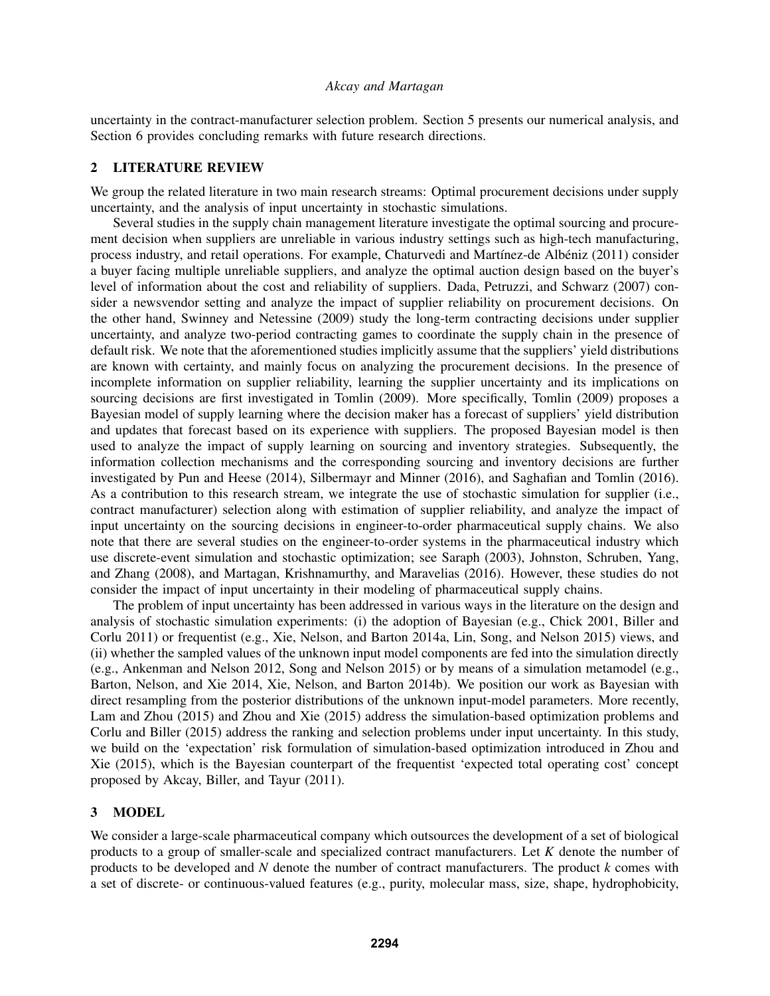uncertainty in the contract-manufacturer selection problem. Section 5 presents our numerical analysis, and Section 6 provides concluding remarks with future research directions.

## 2 LITERATURE REVIEW

We group the related literature in two main research streams: Optimal procurement decisions under supply uncertainty, and the analysis of input uncertainty in stochastic simulations.

Several studies in the supply chain management literature investigate the optimal sourcing and procurement decision when suppliers are unreliable in various industry settings such as high-tech manufacturing, process industry, and retail operations. For example, Chaturvedi and Martínez-de Albéniz (2011) consider a buyer facing multiple unreliable suppliers, and analyze the optimal auction design based on the buyer's level of information about the cost and reliability of suppliers. Dada, Petruzzi, and Schwarz (2007) consider a newsvendor setting and analyze the impact of supplier reliability on procurement decisions. On the other hand, Swinney and Netessine (2009) study the long-term contracting decisions under supplier uncertainty, and analyze two-period contracting games to coordinate the supply chain in the presence of default risk. We note that the aforementioned studies implicitly assume that the suppliers' yield distributions are known with certainty, and mainly focus on analyzing the procurement decisions. In the presence of incomplete information on supplier reliability, learning the supplier uncertainty and its implications on sourcing decisions are first investigated in Tomlin (2009). More specifically, Tomlin (2009) proposes a Bayesian model of supply learning where the decision maker has a forecast of suppliers' yield distribution and updates that forecast based on its experience with suppliers. The proposed Bayesian model is then used to analyze the impact of supply learning on sourcing and inventory strategies. Subsequently, the information collection mechanisms and the corresponding sourcing and inventory decisions are further investigated by Pun and Heese (2014), Silbermayr and Minner (2016), and Saghafian and Tomlin (2016). As a contribution to this research stream, we integrate the use of stochastic simulation for supplier (i.e., contract manufacturer) selection along with estimation of supplier reliability, and analyze the impact of input uncertainty on the sourcing decisions in engineer-to-order pharmaceutical supply chains. We also note that there are several studies on the engineer-to-order systems in the pharmaceutical industry which use discrete-event simulation and stochastic optimization; see Saraph (2003), Johnston, Schruben, Yang, and Zhang (2008), and Martagan, Krishnamurthy, and Maravelias (2016). However, these studies do not consider the impact of input uncertainty in their modeling of pharmaceutical supply chains.

The problem of input uncertainty has been addressed in various ways in the literature on the design and analysis of stochastic simulation experiments: (i) the adoption of Bayesian (e.g., Chick 2001, Biller and Corlu 2011) or frequentist (e.g., Xie, Nelson, and Barton 2014a, Lin, Song, and Nelson 2015) views, and (ii) whether the sampled values of the unknown input model components are fed into the simulation directly (e.g., Ankenman and Nelson 2012, Song and Nelson 2015) or by means of a simulation metamodel (e.g., Barton, Nelson, and Xie 2014, Xie, Nelson, and Barton 2014b). We position our work as Bayesian with direct resampling from the posterior distributions of the unknown input-model parameters. More recently, Lam and Zhou (2015) and Zhou and Xie (2015) address the simulation-based optimization problems and Corlu and Biller (2015) address the ranking and selection problems under input uncertainty. In this study, we build on the 'expectation' risk formulation of simulation-based optimization introduced in Zhou and Xie (2015), which is the Bayesian counterpart of the frequentist 'expected total operating cost' concept proposed by Akcay, Biller, and Tayur (2011).

## 3 MODEL

We consider a large-scale pharmaceutical company which outsources the development of a set of biological products to a group of smaller-scale and specialized contract manufacturers. Let *K* denote the number of products to be developed and *N* denote the number of contract manufacturers. The product *k* comes with a set of discrete- or continuous-valued features (e.g., purity, molecular mass, size, shape, hydrophobicity,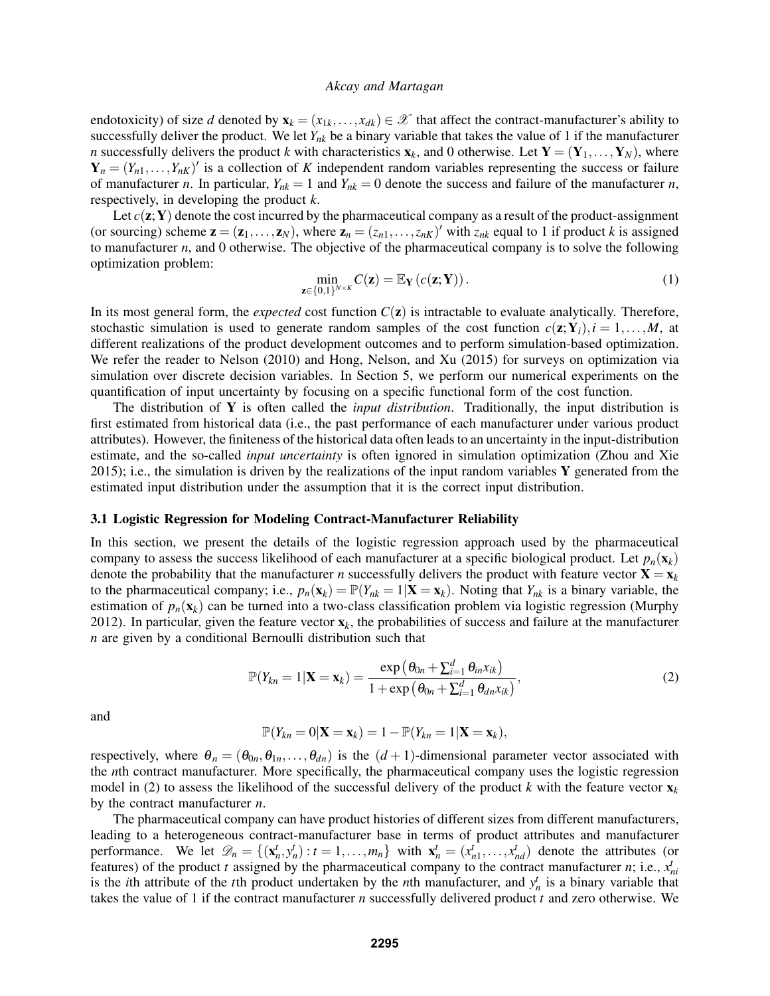endotoxicity) of size *d* denoted by  $\mathbf{x}_k = (x_{1k},...,x_{dk}) \in \mathcal{X}$  that affect the contract-manufacturer's ability to successfully deliver the product. We let  $Y_{nk}$  be a binary variable that takes the value of 1 if the manufacturer *n* successfully delivers the product *k* with characteristics  $\mathbf{x}_k$ , and 0 otherwise. Let  $\mathbf{Y} = (\mathbf{Y}_1, \dots, \mathbf{Y}_N)$ , where  $Y_n = (Y_{n1},...,Y_{nK})'$  is a collection of *K* independent random variables representing the success or failure of manufacturer *n*. In particular,  $Y_{nk} = 1$  and  $Y_{nk} = 0$  denote the success and failure of the manufacturer *n*, respectively, in developing the product *k*.

Let  $c(\mathbf{z}; \mathbf{Y})$  denote the cost incurred by the pharmaceutical company as a result of the product-assignment (or sourcing) scheme  $\mathbf{z} = (\mathbf{z}_1, \dots, \mathbf{z}_N)$ , where  $\mathbf{z}_n = (z_{n1}, \dots, z_{nK})'$  with  $z_{nk}$  equal to 1 if product *k* is assigned to manufacturer  $n$ , and 0 otherwise. The objective of the pharmaceutical company is to solve the following optimization problem:

$$
\min_{\mathbf{z}\in\{0,1\}^{N\times K}} C(\mathbf{z}) = \mathbb{E}_{\mathbf{Y}} \left( c(\mathbf{z}; \mathbf{Y}) \right). \tag{1}
$$

In its most general form, the *expected* cost function  $C(z)$  is intractable to evaluate analytically. Therefore, stochastic simulation is used to generate random samples of the cost function  $c(\mathbf{z}; \mathbf{Y}_i)$ ,  $i = 1, ..., M$ , at different realizations of the product development outcomes and to perform simulation-based optimization. We refer the reader to Nelson (2010) and Hong, Nelson, and Xu (2015) for surveys on optimization via simulation over discrete decision variables. In Section 5, we perform our numerical experiments on the quantification of input uncertainty by focusing on a specific functional form of the cost function.

The distribution of Y is often called the *input distribution*. Traditionally, the input distribution is first estimated from historical data (i.e., the past performance of each manufacturer under various product attributes). However, the finiteness of the historical data often leads to an uncertainty in the input-distribution estimate, and the so-called *input uncertainty* is often ignored in simulation optimization (Zhou and Xie 2015); i.e., the simulation is driven by the realizations of the input random variables Y generated from the estimated input distribution under the assumption that it is the correct input distribution.

### 3.1 Logistic Regression for Modeling Contract-Manufacturer Reliability

In this section, we present the details of the logistic regression approach used by the pharmaceutical company to assess the success likelihood of each manufacturer at a specific biological product. Let  $p_n(\mathbf{x}_k)$ denote the probability that the manufacturer *n* successfully delivers the product with feature vector  $\mathbf{X} = \mathbf{x}_k$ to the pharmaceutical company; i.e.,  $p_n(\mathbf{x}_k) = \mathbb{P}(Y_{nk} = 1 | \mathbf{X} = \mathbf{x}_k)$ . Noting that  $Y_{nk}$  is a binary variable, the estimation of  $p_n(\mathbf{x}_k)$  can be turned into a two-class classification problem via logistic regression (Murphy 2012). In particular, given the feature vector  $x_k$ , the probabilities of success and failure at the manufacturer *n* are given by a conditional Bernoulli distribution such that

$$
\mathbb{P}(Y_{kn}=1|\mathbf{X}=\mathbf{x}_k)=\frac{\exp\left(\theta_{0n}+\sum_{i=1}^d\theta_{in}x_{ik}\right)}{1+\exp\left(\theta_{0n}+\sum_{i=1}^d\theta_{dn}x_{ik}\right)},\tag{2}
$$

and

$$
\mathbb{P}(Y_{kn}=0|\mathbf{X}=\mathbf{x}_k)=1-\mathbb{P}(Y_{kn}=1|\mathbf{X}=\mathbf{x}_k),
$$

respectively, where  $\theta_n = (\theta_{0n}, \theta_{1n}, \dots, \theta_{dn})$  is the  $(d+1)$ -dimensional parameter vector associated with the *n*th contract manufacturer. More specifically, the pharmaceutical company uses the logistic regression model in (2) to assess the likelihood of the successful delivery of the product *k* with the feature vector  $\mathbf{x}_k$ by the contract manufacturer *n*.

The pharmaceutical company can have product histories of different sizes from different manufacturers, leading to a heterogeneous contract-manufacturer base in terms of product attributes and manufacturer performance. We let  $\mathcal{D}_n = \{(\mathbf{x}_n^t, y_n^t) : t = 1, \dots, m_n\}$  with  $\mathbf{x}_n^t = (x_{n1}^t, \dots, x_{nd}^t)$  denote the attributes (or features) of the product *t* assigned by the pharmaceutical company to the contract manufacturer *n*; i.e.,  $x_{ni}^t$ is the *i*th attribute of the *t*th product undertaken by the *n*th manufacturer, and  $y_n^t$  is a binary variable that takes the value of 1 if the contract manufacturer *n* successfully delivered product *t* and zero otherwise. We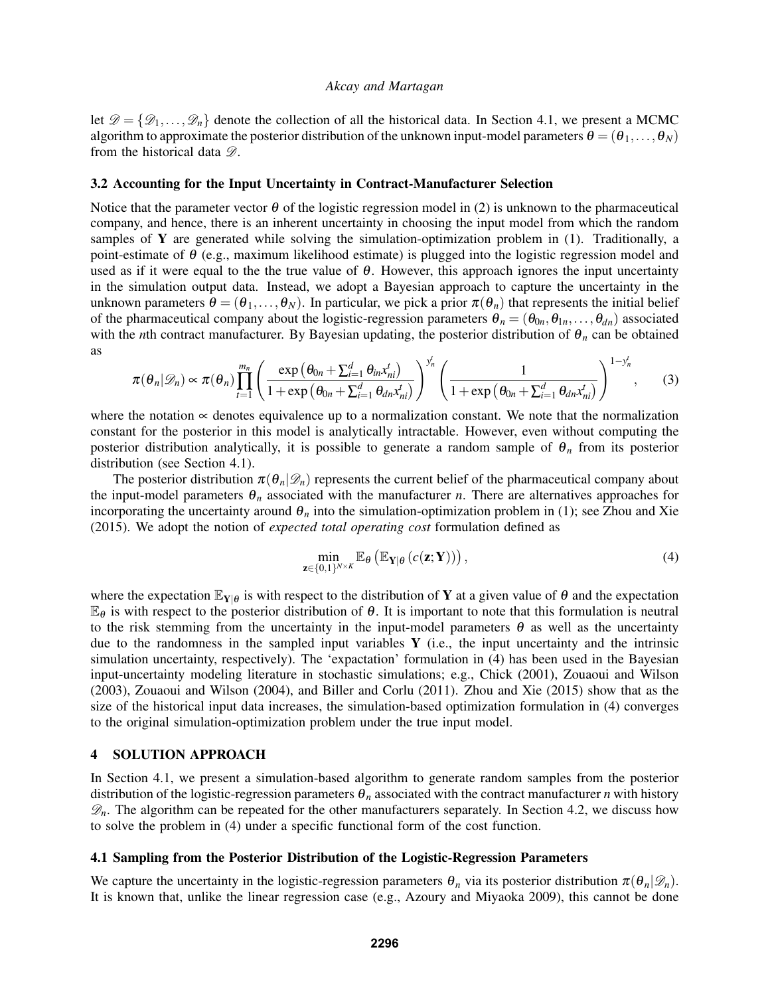let  $\mathcal{D} = {\mathcal{D}_1,\ldots,\mathcal{D}_n}$  denote the collection of all the historical data. In Section 4.1, we present a MCMC algorithm to approximate the posterior distribution of the unknown input-model parameters  $\theta = (\theta_1, \dots, \theta_N)$ from the historical data  $\mathscr{D}$ .

## 3.2 Accounting for the Input Uncertainty in Contract-Manufacturer Selection

Notice that the parameter vector  $\theta$  of the logistic regression model in (2) is unknown to the pharmaceutical company, and hence, there is an inherent uncertainty in choosing the input model from which the random samples of Y are generated while solving the simulation-optimization problem in  $(1)$ . Traditionally, a point-estimate of  $\theta$  (e.g., maximum likelihood estimate) is plugged into the logistic regression model and used as if it were equal to the the true value of  $\theta$ . However, this approach ignores the input uncertainty in the simulation output data. Instead, we adopt a Bayesian approach to capture the uncertainty in the unknown parameters  $\theta = (\theta_1, \dots, \theta_N)$ . In particular, we pick a prior  $\pi(\theta_n)$  that represents the initial belief of the pharmaceutical company about the logistic-regression parameters  $\theta_n = (\theta_{0n}, \theta_{1n}, \dots, \theta_{dn})$  associated with the *n*th contract manufacturer. By Bayesian updating, the posterior distribution of  $\theta_n$  can be obtained as

$$
\pi(\theta_n|\mathscr{D}_n) \propto \pi(\theta_n) \prod_{t=1}^{m_n} \left( \frac{\exp\left(\theta_{0n} + \sum_{i=1}^d \theta_{in} x_{ni}^t\right)}{1 + \exp\left(\theta_{0n} + \sum_{i=1}^d \theta_{dn} x_{ni}^t\right)} \right)^{y_n^t} \left( \frac{1}{1 + \exp\left(\theta_{0n} + \sum_{i=1}^d \theta_{dn} x_{ni}^t\right)} \right)^{1 - y_n^t},\tag{3}
$$

where the notation  $\infty$  denotes equivalence up to a normalization constant. We note that the normalization constant for the posterior in this model is analytically intractable. However, even without computing the posterior distribution analytically, it is possible to generate a random sample of θ*<sup>n</sup>* from its posterior distribution (see Section 4.1).

The posterior distribution  $\pi(\theta_n|\mathcal{D}_n)$  represents the current belief of the pharmaceutical company about the input-model parameters  $\theta_n$  associated with the manufacturer *n*. There are alternatives approaches for incorporating the uncertainty around θ*<sup>n</sup>* into the simulation-optimization problem in (1); see Zhou and Xie (2015). We adopt the notion of *expected total operating cost* formulation defined as

$$
\min_{\mathbf{z}\in\{0,1\}^{N\times K}}\mathbb{E}_{\theta}\left(\mathbb{E}_{\mathbf{Y}|\theta}\left(c(\mathbf{z};\mathbf{Y})\right)\right),\tag{4}
$$

where the expectation  $\mathbb{E}_{Y|\theta}$  is with respect to the distribution of Y at a given value of  $\theta$  and the expectation  $\mathbb{E}_{\theta}$  is with respect to the posterior distribution of θ. It is important to note that this formulation is neutral to the risk stemming from the uncertainty in the input-model parameters  $\theta$  as well as the uncertainty due to the randomness in the sampled input variables  $\bf{Y}$  (i.e., the input uncertainty and the intrinsic simulation uncertainty, respectively). The 'expactation' formulation in (4) has been used in the Bayesian input-uncertainty modeling literature in stochastic simulations; e.g., Chick (2001), Zouaoui and Wilson (2003), Zouaoui and Wilson (2004), and Biller and Corlu (2011). Zhou and Xie (2015) show that as the size of the historical input data increases, the simulation-based optimization formulation in (4) converges to the original simulation-optimization problem under the true input model.

## 4 SOLUTION APPROACH

In Section 4.1, we present a simulation-based algorithm to generate random samples from the posterior distribution of the logistic-regression parameters  $\theta_n$  associated with the contract manufacturer *n* with history  $\mathscr{D}_n$ . The algorithm can be repeated for the other manufacturers separately. In Section 4.2, we discuss how to solve the problem in (4) under a specific functional form of the cost function.

## 4.1 Sampling from the Posterior Distribution of the Logistic-Regression Parameters

We capture the uncertainty in the logistic-regression parameters  $\theta_n$  via its posterior distribution  $\pi(\theta_n|\mathscr{D}_n)$ . It is known that, unlike the linear regression case (e.g., Azoury and Miyaoka 2009), this cannot be done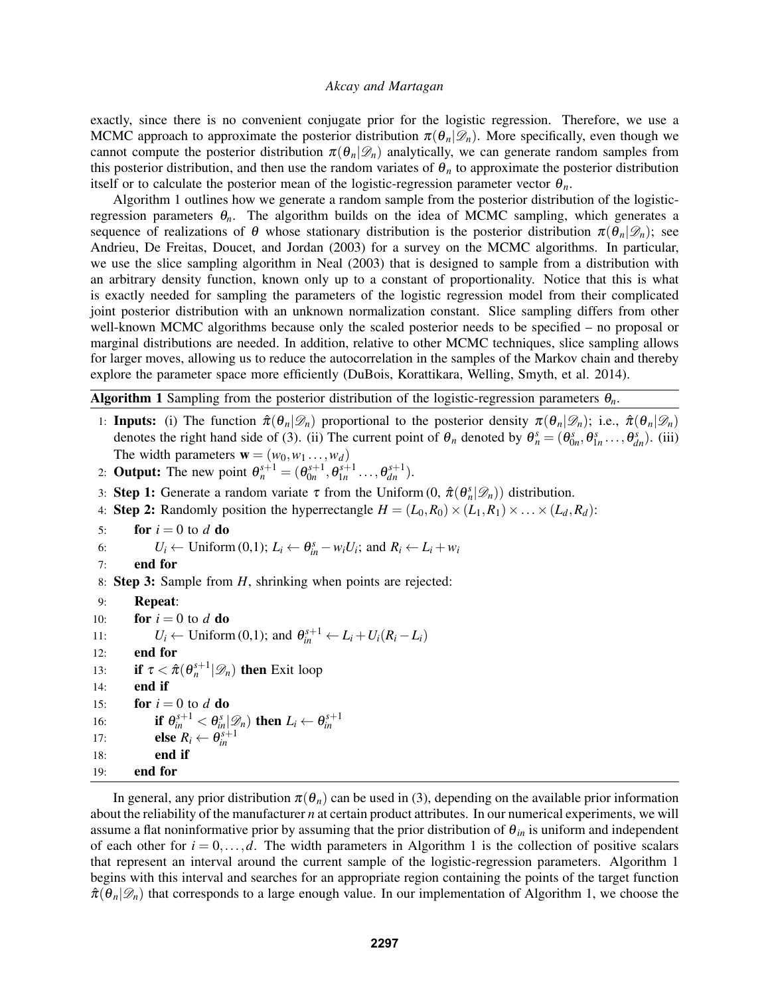exactly, since there is no convenient conjugate prior for the logistic regression. Therefore, we use a MCMC approach to approximate the posterior distribution  $\pi(\theta_n|\mathcal{D}_n)$ . More specifically, even though we cannot compute the posterior distribution  $\pi(\theta_n|\mathcal{D}_n)$  analytically, we can generate random samples from this posterior distribution, and then use the random variates of  $\theta_n$  to approximate the posterior distribution itself or to calculate the posterior mean of the logistic-regression parameter vector  $\theta_n$ .

Algorithm 1 outlines how we generate a random sample from the posterior distribution of the logisticregression parameters  $\theta_n$ . The algorithm builds on the idea of MCMC sampling, which generates a sequence of realizations of  $\theta$  whose stationary distribution is the posterior distribution  $\pi(\theta_n|\mathcal{D}_n)$ ; see Andrieu, De Freitas, Doucet, and Jordan (2003) for a survey on the MCMC algorithms. In particular, we use the slice sampling algorithm in Neal (2003) that is designed to sample from a distribution with an arbitrary density function, known only up to a constant of proportionality. Notice that this is what is exactly needed for sampling the parameters of the logistic regression model from their complicated joint posterior distribution with an unknown normalization constant. Slice sampling differs from other well-known MCMC algorithms because only the scaled posterior needs to be specified – no proposal or marginal distributions are needed. In addition, relative to other MCMC techniques, slice sampling allows for larger moves, allowing us to reduce the autocorrelation in the samples of the Markov chain and thereby explore the parameter space more efficiently (DuBois, Korattikara, Welling, Smyth, et al. 2014).

Algorithm 1 Sampling from the posterior distribution of the logistic-regression parameters θ*n*.

1: **Inputs:** (i) The function  $\hat{\pi}(\theta_n|\mathcal{D}_n)$  proportional to the posterior density  $\pi(\theta_n|\mathcal{D}_n)$ ; i.e.,  $\hat{\pi}(\theta_n|\mathcal{D}_n)$ denotes the right hand side of (3). (ii) The current point of  $\theta_n$  denoted by  $\theta_n^s = (\theta_{0n}^s, \theta_{1n}^s, \dots, \theta_{dn}^s)$ . (iii) The width parameters  $\mathbf{w} = (w_0, w_1, \dots, w_d)$ 

2: **Output:** The new point  $\theta_n^{s+1} = (\theta_{0n}^{s+1}, \theta_{1n}^{s+1}, \dots, \theta_{dn}^{s+1}).$ 

- 3: **Step 1:** Generate a random variate  $\tau$  from the Uniform  $(0, \hat{\pi}(\theta_n^s | \mathcal{D}_n))$  distribution.
- 4: **Step 2:** Randomly position the hyperrectangle  $H = (L_0, R_0) \times (L_1, R_1) \times \ldots \times (L_d, R_d)$ :
- 5: **for**  $i = 0$  to  $d$  **do**
- 6:  $U_i \leftarrow \text{Uniform } (0,1); L_i \leftarrow \theta_{in}^s w_i U_i; \text{ and } R_i \leftarrow L_i + w_i$
- 7: end for

8: Step 3: Sample from *H*, shrinking when points are rejected:

```
9: Repeat:
10: for i = 0 to d do
11: U_i \leftarrow \text{Uniform}(0,1); and \theta_{in}^{s+1} \leftarrow L_i + U_i(R_i - L_i)12: end for
13: if \tau < \hat{\pi}(\theta_n^{s+1} | \mathcal{D}_n) then Exit loop
14: end if
15: for i = 0 to d do
16: if \theta_{in}^{s+1} < \theta_{in}^{s} | \mathcal{D}_n then L_i \leftarrow \theta_{in}^{s+1}<br>17: else R_i \leftarrow \theta_{in}^{s+1}18: end if
19: end for
```
In general, any prior distribution  $\pi(\theta_n)$  can be used in (3), depending on the available prior information about the reliability of the manufacturer *n* at certain product attributes. In our numerical experiments, we will assume a flat noninformative prior by assuming that the prior distribution of  $\theta_{in}$  is uniform and independent of each other for  $i = 0, \ldots, d$ . The width parameters in Algorithm 1 is the collection of positive scalars that represent an interval around the current sample of the logistic-regression parameters. Algorithm 1 begins with this interval and searches for an appropriate region containing the points of the target function  $\hat{\pi}(\theta_n|\mathcal{D}_n)$  that corresponds to a large enough value. In our implementation of Algorithm 1, we choose the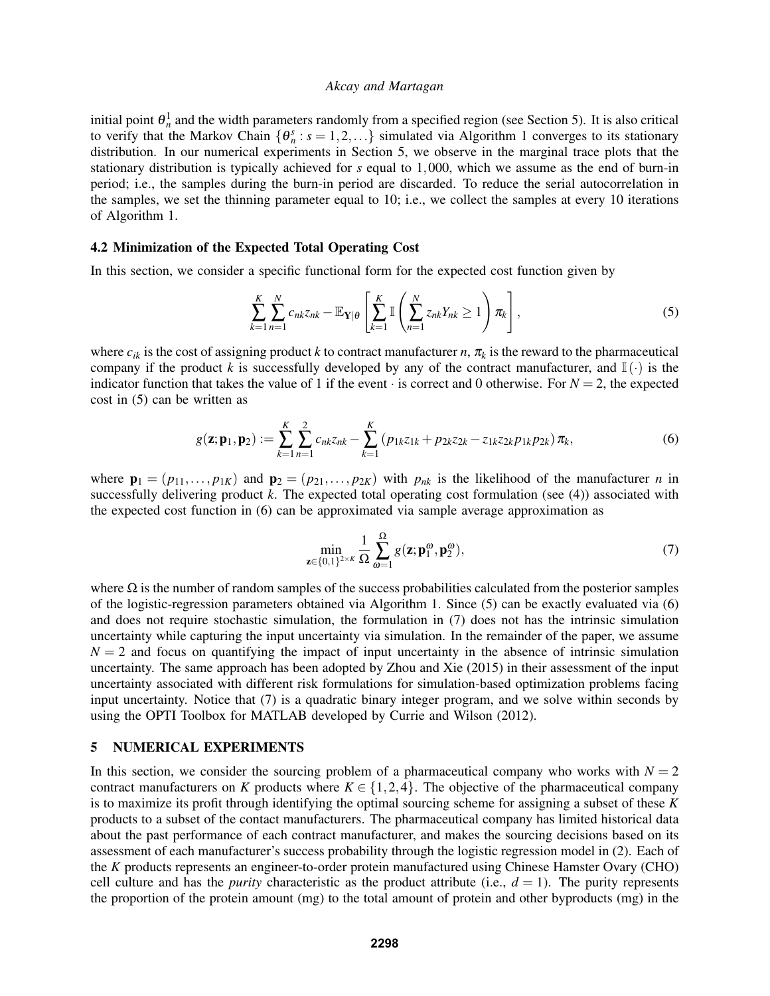initial point  $\theta_n^1$  and the width parameters randomly from a specified region (see Section 5). It is also critical to verify that the Markov Chain  $\{\theta_n^s : s = 1, 2, ...\}$  simulated via Algorithm 1 converges to its stationary distribution. In our numerical experiments in Section 5, we observe in the marginal trace plots that the stationary distribution is typically achieved for *s* equal to 1,000, which we assume as the end of burn-in period; i.e., the samples during the burn-in period are discarded. To reduce the serial autocorrelation in the samples, we set the thinning parameter equal to 10; i.e., we collect the samples at every 10 iterations of Algorithm 1.

## 4.2 Minimization of the Expected Total Operating Cost

In this section, we consider a specific functional form for the expected cost function given by

$$
\sum_{k=1}^{K} \sum_{n=1}^{N} c_{nk} z_{nk} - \mathbb{E}_{\mathbf{Y}|\theta} \left[ \sum_{k=1}^{K} \mathbb{I} \left( \sum_{n=1}^{N} z_{nk} Y_{nk} \ge 1 \right) \pi_k \right], \qquad (5)
$$

where  $c_{ik}$  is the cost of assigning product *k* to contract manufacturer *n*,  $\pi_k$  is the reward to the pharmaceutical company if the product *k* is successfully developed by any of the contract manufacturer, and  $\mathbb{I}(\cdot)$  is the indicator function that takes the value of 1 if the event  $\cdot$  is correct and 0 otherwise. For  $N = 2$ , the expected cost in (5) can be written as

$$
g(\mathbf{z}; \mathbf{p}_1, \mathbf{p}_2) := \sum_{k=1}^K \sum_{n=1}^2 c_{nk} z_{nk} - \sum_{k=1}^K \left( p_{1k} z_{1k} + p_{2k} z_{2k} - z_{1k} z_{2k} p_{1k} p_{2k} \right) \pi_k, \tag{6}
$$

where  $\mathbf{p}_1 = (p_{11}, \ldots, p_{1K})$  and  $\mathbf{p}_2 = (p_{21}, \ldots, p_{2K})$  with  $p_{nk}$  is the likelihood of the manufacturer *n* in successfully delivering product *k*. The expected total operating cost formulation (see (4)) associated with the expected cost function in (6) can be approximated via sample average approximation as

$$
\min_{\mathbf{z}\in\{0,1\}^{2\times K}}\frac{1}{\Omega}\sum_{\omega=1}^{\Omega}g(\mathbf{z};\mathbf{p}_{1}^{\omega},\mathbf{p}_{2}^{\omega}),\tag{7}
$$

where  $\Omega$  is the number of random samples of the success probabilities calculated from the posterior samples of the logistic-regression parameters obtained via Algorithm 1. Since (5) can be exactly evaluated via (6) and does not require stochastic simulation, the formulation in (7) does not has the intrinsic simulation uncertainty while capturing the input uncertainty via simulation. In the remainder of the paper, we assume  $N = 2$  and focus on quantifying the impact of input uncertainty in the absence of intrinsic simulation uncertainty. The same approach has been adopted by Zhou and Xie (2015) in their assessment of the input uncertainty associated with different risk formulations for simulation-based optimization problems facing input uncertainty. Notice that (7) is a quadratic binary integer program, and we solve within seconds by using the OPTI Toolbox for MATLAB developed by Currie and Wilson (2012).

## 5 NUMERICAL EXPERIMENTS

In this section, we consider the sourcing problem of a pharmaceutical company who works with  $N = 2$ contract manufacturers on *K* products where  $K \in \{1,2,4\}$ . The objective of the pharmaceutical company is to maximize its profit through identifying the optimal sourcing scheme for assigning a subset of these *K* products to a subset of the contact manufacturers. The pharmaceutical company has limited historical data about the past performance of each contract manufacturer, and makes the sourcing decisions based on its assessment of each manufacturer's success probability through the logistic regression model in (2). Each of the *K* products represents an engineer-to-order protein manufactured using Chinese Hamster Ovary (CHO) cell culture and has the *purity* characteristic as the product attribute (i.e.,  $d = 1$ ). The purity represents the proportion of the protein amount (mg) to the total amount of protein and other byproducts (mg) in the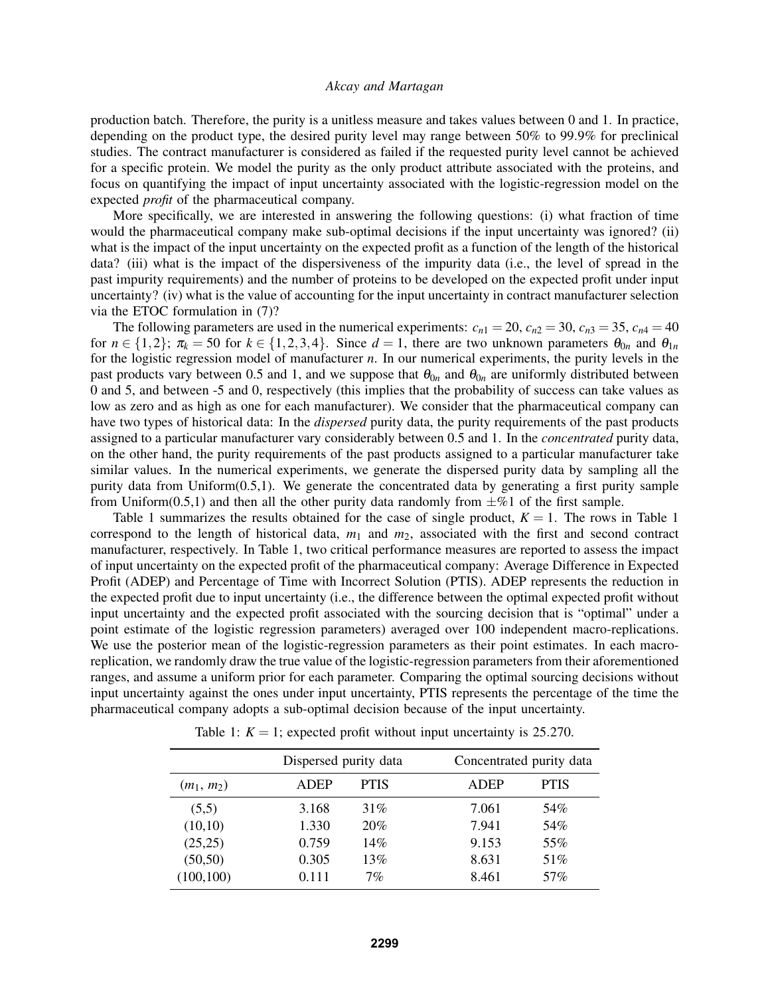production batch. Therefore, the purity is a unitless measure and takes values between 0 and 1. In practice, depending on the product type, the desired purity level may range between 50% to 99.9% for preclinical studies. The contract manufacturer is considered as failed if the requested purity level cannot be achieved for a specific protein. We model the purity as the only product attribute associated with the proteins, and focus on quantifying the impact of input uncertainty associated with the logistic-regression model on the expected *profit* of the pharmaceutical company.

More specifically, we are interested in answering the following questions: (i) what fraction of time would the pharmaceutical company make sub-optimal decisions if the input uncertainty was ignored? (ii) what is the impact of the input uncertainty on the expected profit as a function of the length of the historical data? (iii) what is the impact of the dispersiveness of the impurity data (i.e., the level of spread in the past impurity requirements) and the number of proteins to be developed on the expected profit under input uncertainty? (iv) what is the value of accounting for the input uncertainty in contract manufacturer selection via the ETOC formulation in (7)?

The following parameters are used in the numerical experiments:  $c_{n1} = 20$ ,  $c_{n2} = 30$ ,  $c_{n3} = 35$ ,  $c_{n4} = 40$ for  $n \in \{1,2\}$ ;  $\pi_k = 50$  for  $k \in \{1,2,3,4\}$ . Since  $d = 1$ , there are two unknown parameters  $\theta_{0n}$  and  $\theta_{1n}$ for the logistic regression model of manufacturer *n*. In our numerical experiments, the purity levels in the past products vary between 0.5 and 1, and we suppose that  $\theta_{0n}$  and  $\theta_{0n}$  are uniformly distributed between 0 and 5, and between -5 and 0, respectively (this implies that the probability of success can take values as low as zero and as high as one for each manufacturer). We consider that the pharmaceutical company can have two types of historical data: In the *dispersed* purity data, the purity requirements of the past products assigned to a particular manufacturer vary considerably between 0.5 and 1. In the *concentrated* purity data, on the other hand, the purity requirements of the past products assigned to a particular manufacturer take similar values. In the numerical experiments, we generate the dispersed purity data by sampling all the purity data from Uniform $(0.5,1)$ . We generate the concentrated data by generating a first purity sample from Uniform(0.5,1) and then all the other purity data randomly from  $\pm \%$ 1 of the first sample.

Table 1 summarizes the results obtained for the case of single product,  $K = 1$ . The rows in Table 1 correspond to the length of historical data,  $m_1$  and  $m_2$ , associated with the first and second contract manufacturer, respectively. In Table 1, two critical performance measures are reported to assess the impact of input uncertainty on the expected profit of the pharmaceutical company: Average Difference in Expected Profit (ADEP) and Percentage of Time with Incorrect Solution (PTIS). ADEP represents the reduction in the expected profit due to input uncertainty (i.e., the difference between the optimal expected profit without input uncertainty and the expected profit associated with the sourcing decision that is "optimal" under a point estimate of the logistic regression parameters) averaged over 100 independent macro-replications. We use the posterior mean of the logistic-regression parameters as their point estimates. In each macroreplication, we randomly draw the true value of the logistic-regression parameters from their aforementioned ranges, and assume a uniform prior for each parameter. Comparing the optimal sourcing decisions without input uncertainty against the ones under input uncertainty, PTIS represents the percentage of the time the pharmaceutical company adopts a sub-optimal decision because of the input uncertainty.

|              |             | Dispersed purity data |       | Concentrated purity data |  |
|--------------|-------------|-----------------------|-------|--------------------------|--|
| $(m_1, m_2)$ | <b>ADEP</b> | <b>PTIS</b>           | ADEP  | <b>PTIS</b>              |  |
| (5,5)        | 3.168       | 31%                   | 7.061 | 54%                      |  |
| (10,10)      | 1.330       | 20%                   | 7.941 | 54%                      |  |
| (25,25)      | 0.759       | 14%                   | 9.153 | 55%                      |  |
| (50, 50)     | 0.305       | 13%                   | 8.631 | 51\%                     |  |
| (100, 100)   | 0.111       | $7\%$                 | 8.461 | 57%                      |  |

Table 1:  $K = 1$ ; expected profit without input uncertainty is 25.270.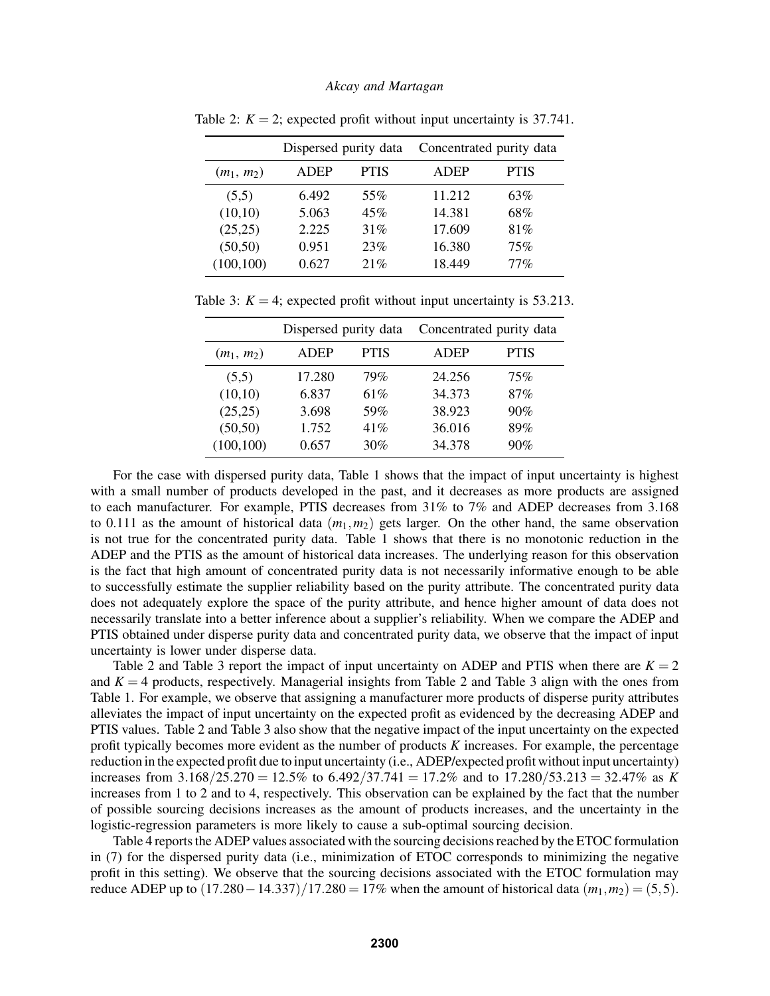|              | Dispersed purity data |             | Concentrated purity data |             |
|--------------|-----------------------|-------------|--------------------------|-------------|
| $(m_1, m_2)$ | ADEP                  | <b>PTIS</b> | ADEP                     | <b>PTIS</b> |
| (5,5)        | 6.492                 | 55%         | 11.212                   | 63%         |
| (10,10)      | 5.063                 | 45%         | 14.381                   | 68%         |
| (25,25)      | 2.225                 | 31%         | 17.609                   | 81\%        |
| (50, 50)     | 0.951                 | 23%         | 16.380                   | 75%         |
| (100, 100)   | 0.627                 | 21%         | 18.449                   | 77%         |

Table 2:  $K = 2$ ; expected profit without input uncertainty is 37.741.

Table 3:  $K = 4$ ; expected profit without input uncertainty is 53.213.

|              | Dispersed purity data |             | Concentrated purity data |             |
|--------------|-----------------------|-------------|--------------------------|-------------|
| $(m_1, m_2)$ | ADEP                  | <b>PTIS</b> | ADEP                     | <b>PTIS</b> |
| (5,5)        | 17.280                | 79%         | 24.256                   | 75%         |
| (10,10)      | 6.837                 | 61%         | 34.373                   | 87%         |
| (25,25)      | 3.698                 | 59%         | 38.923                   | 90%         |
| (50, 50)     | 1.752                 | 41%         | 36.016                   | 89%         |
| (100, 100)   | 0.657                 | 30%         | 34.378                   | 90%         |

For the case with dispersed purity data, Table 1 shows that the impact of input uncertainty is highest with a small number of products developed in the past, and it decreases as more products are assigned to each manufacturer. For example, PTIS decreases from 31% to 7% and ADEP decreases from 3.168 to 0.111 as the amount of historical data  $(m_1, m_2)$  gets larger. On the other hand, the same observation is not true for the concentrated purity data. Table 1 shows that there is no monotonic reduction in the ADEP and the PTIS as the amount of historical data increases. The underlying reason for this observation is the fact that high amount of concentrated purity data is not necessarily informative enough to be able to successfully estimate the supplier reliability based on the purity attribute. The concentrated purity data does not adequately explore the space of the purity attribute, and hence higher amount of data does not necessarily translate into a better inference about a supplier's reliability. When we compare the ADEP and PTIS obtained under disperse purity data and concentrated purity data, we observe that the impact of input uncertainty is lower under disperse data.

Table 2 and Table 3 report the impact of input uncertainty on ADEP and PTIS when there are  $K = 2$ and  $K = 4$  products, respectively. Managerial insights from Table 2 and Table 3 align with the ones from Table 1. For example, we observe that assigning a manufacturer more products of disperse purity attributes alleviates the impact of input uncertainty on the expected profit as evidenced by the decreasing ADEP and PTIS values. Table 2 and Table 3 also show that the negative impact of the input uncertainty on the expected profit typically becomes more evident as the number of products *K* increases. For example, the percentage reduction in the expected profit due to input uncertainty (i.e., ADEP/expected profit without input uncertainty) increases from 3.168/25.270 = 12.5% to 6.492/37.741 = 17.2% and to 17.280/53.213 = 32.47% as *K* increases from 1 to 2 and to 4, respectively. This observation can be explained by the fact that the number of possible sourcing decisions increases as the amount of products increases, and the uncertainty in the logistic-regression parameters is more likely to cause a sub-optimal sourcing decision.

Table 4 reports the ADEP values associated with the sourcing decisions reached by the ETOC formulation in (7) for the dispersed purity data (i.e., minimization of ETOC corresponds to minimizing the negative profit in this setting). We observe that the sourcing decisions associated with the ETOC formulation may reduce ADEP up to  $(17.280 - 14.337)/17.280 = 17%$  when the amount of historical data  $(m_1, m_2) = (5.5)$ .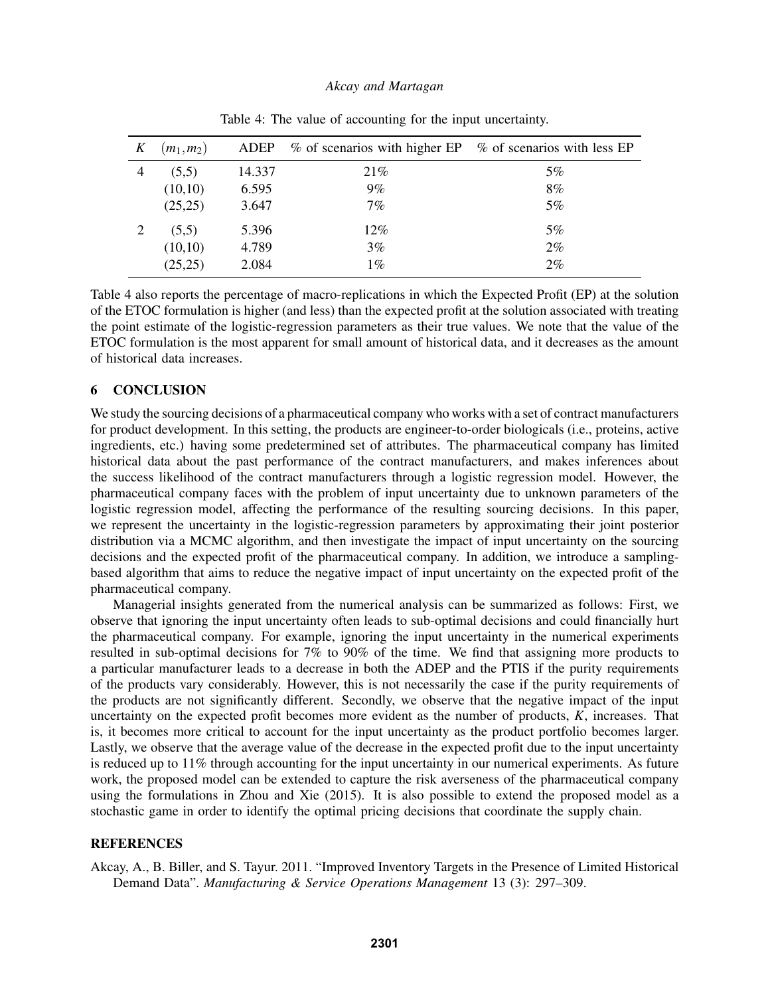| K | $(m_1, m_2)$ | ADEP   | $%$ of scenarios with higher EP $%$ of scenarios with less EP |       |
|---|--------------|--------|---------------------------------------------------------------|-------|
| 4 | (5,5)        | 14.337 | 21\%                                                          | 5%    |
|   | (10,10)      | 6.595  | 9%                                                            | 8%    |
|   | (25,25)      | 3.647  | 7%                                                            | 5%    |
|   | (5,5)        | 5.396  | 12%                                                           | 5%    |
|   | (10,10)      | 4.789  | $3\%$                                                         | $2\%$ |
|   | (25,25)      | 2.084  | 1%                                                            | $2\%$ |

Table 4: The value of accounting for the input uncertainty.

Table 4 also reports the percentage of macro-replications in which the Expected Profit (EP) at the solution of the ETOC formulation is higher (and less) than the expected profit at the solution associated with treating the point estimate of the logistic-regression parameters as their true values. We note that the value of the ETOC formulation is the most apparent for small amount of historical data, and it decreases as the amount of historical data increases.

## 6 CONCLUSION

We study the sourcing decisions of a pharmaceutical company who works with a set of contract manufacturers for product development. In this setting, the products are engineer-to-order biologicals (i.e., proteins, active ingredients, etc.) having some predetermined set of attributes. The pharmaceutical company has limited historical data about the past performance of the contract manufacturers, and makes inferences about the success likelihood of the contract manufacturers through a logistic regression model. However, the pharmaceutical company faces with the problem of input uncertainty due to unknown parameters of the logistic regression model, affecting the performance of the resulting sourcing decisions. In this paper, we represent the uncertainty in the logistic-regression parameters by approximating their joint posterior distribution via a MCMC algorithm, and then investigate the impact of input uncertainty on the sourcing decisions and the expected profit of the pharmaceutical company. In addition, we introduce a samplingbased algorithm that aims to reduce the negative impact of input uncertainty on the expected profit of the pharmaceutical company.

Managerial insights generated from the numerical analysis can be summarized as follows: First, we observe that ignoring the input uncertainty often leads to sub-optimal decisions and could financially hurt the pharmaceutical company. For example, ignoring the input uncertainty in the numerical experiments resulted in sub-optimal decisions for 7% to 90% of the time. We find that assigning more products to a particular manufacturer leads to a decrease in both the ADEP and the PTIS if the purity requirements of the products vary considerably. However, this is not necessarily the case if the purity requirements of the products are not significantly different. Secondly, we observe that the negative impact of the input uncertainty on the expected profit becomes more evident as the number of products, *K*, increases. That is, it becomes more critical to account for the input uncertainty as the product portfolio becomes larger. Lastly, we observe that the average value of the decrease in the expected profit due to the input uncertainty is reduced up to 11% through accounting for the input uncertainty in our numerical experiments. As future work, the proposed model can be extended to capture the risk averseness of the pharmaceutical company using the formulations in Zhou and Xie (2015). It is also possible to extend the proposed model as a stochastic game in order to identify the optimal pricing decisions that coordinate the supply chain.

## **REFERENCES**

Akcay, A., B. Biller, and S. Tayur. 2011. "Improved Inventory Targets in the Presence of Limited Historical Demand Data". *Manufacturing & Service Operations Management* 13 (3): 297–309.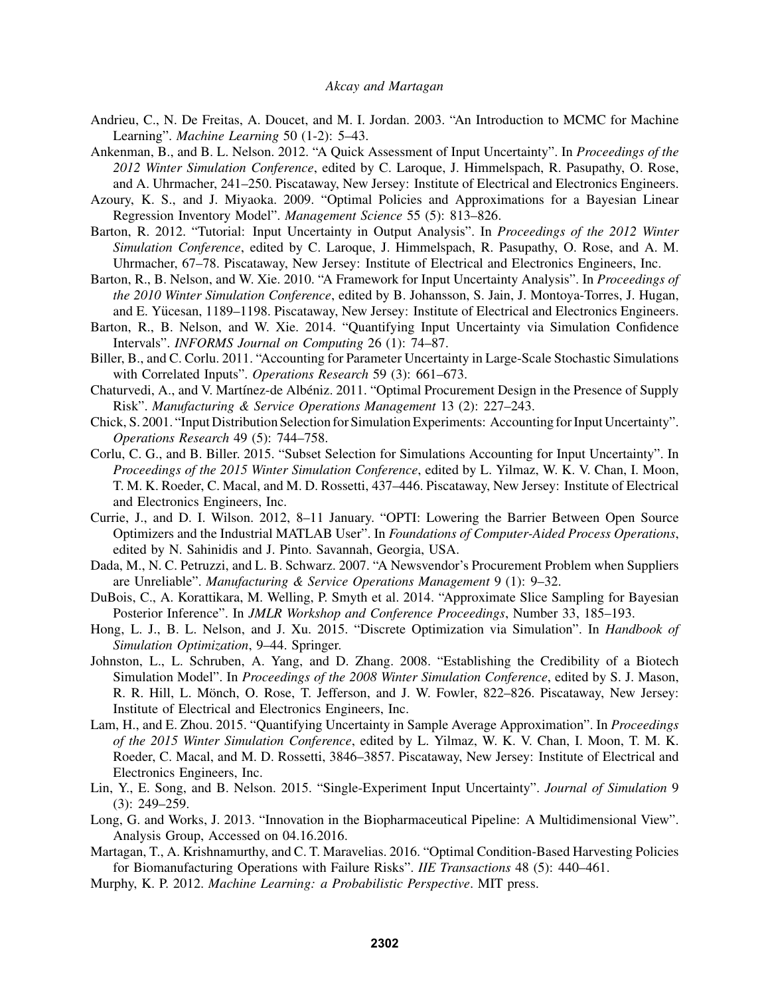- Andrieu, C., N. De Freitas, A. Doucet, and M. I. Jordan. 2003. "An Introduction to MCMC for Machine Learning". *Machine Learning* 50 (1-2): 5–43.
- Ankenman, B., and B. L. Nelson. 2012. "A Quick Assessment of Input Uncertainty". In *Proceedings of the 2012 Winter Simulation Conference*, edited by C. Laroque, J. Himmelspach, R. Pasupathy, O. Rose, and A. Uhrmacher, 241–250. Piscataway, New Jersey: Institute of Electrical and Electronics Engineers.
- Azoury, K. S., and J. Miyaoka. 2009. "Optimal Policies and Approximations for a Bayesian Linear Regression Inventory Model". *Management Science* 55 (5): 813–826.
- Barton, R. 2012. "Tutorial: Input Uncertainty in Output Analysis". In *Proceedings of the 2012 Winter Simulation Conference*, edited by C. Laroque, J. Himmelspach, R. Pasupathy, O. Rose, and A. M. Uhrmacher, 67–78. Piscataway, New Jersey: Institute of Electrical and Electronics Engineers, Inc.
- Barton, R., B. Nelson, and W. Xie. 2010. "A Framework for Input Uncertainty Analysis". In *Proceedings of the 2010 Winter Simulation Conference*, edited by B. Johansson, S. Jain, J. Montoya-Torres, J. Hugan, and E. Yücesan, 1189–1198. Piscataway, New Jersey: Institute of Electrical and Electronics Engineers.
- Barton, R., B. Nelson, and W. Xie. 2014. "Quantifying Input Uncertainty via Simulation Confidence Intervals". *INFORMS Journal on Computing* 26 (1): 74–87.
- Biller, B., and C. Corlu. 2011. "Accounting for Parameter Uncertainty in Large-Scale Stochastic Simulations with Correlated Inputs". *Operations Research* 59 (3): 661–673.
- Chaturvedi, A., and V. Martínez-de Albéniz. 2011. "Optimal Procurement Design in the Presence of Supply Risk". *Manufacturing & Service Operations Management* 13 (2): 227–243.
- Chick, S. 2001. "Input Distribution Selection for Simulation Experiments: Accounting for Input Uncertainty". *Operations Research* 49 (5): 744–758.
- Corlu, C. G., and B. Biller. 2015. "Subset Selection for Simulations Accounting for Input Uncertainty". In *Proceedings of the 2015 Winter Simulation Conference*, edited by L. Yilmaz, W. K. V. Chan, I. Moon, T. M. K. Roeder, C. Macal, and M. D. Rossetti, 437–446. Piscataway, New Jersey: Institute of Electrical and Electronics Engineers, Inc.
- Currie, J., and D. I. Wilson. 2012, 8–11 January. "OPTI: Lowering the Barrier Between Open Source Optimizers and the Industrial MATLAB User". In *Foundations of Computer-Aided Process Operations*, edited by N. Sahinidis and J. Pinto. Savannah, Georgia, USA.
- Dada, M., N. C. Petruzzi, and L. B. Schwarz. 2007. "A Newsvendor's Procurement Problem when Suppliers are Unreliable". *Manufacturing & Service Operations Management* 9 (1): 9–32.
- DuBois, C., A. Korattikara, M. Welling, P. Smyth et al. 2014. "Approximate Slice Sampling for Bayesian Posterior Inference". In *JMLR Workshop and Conference Proceedings*, Number 33, 185–193.
- Hong, L. J., B. L. Nelson, and J. Xu. 2015. "Discrete Optimization via Simulation". In *Handbook of Simulation Optimization*, 9–44. Springer.
- Johnston, L., L. Schruben, A. Yang, and D. Zhang. 2008. "Establishing the Credibility of a Biotech Simulation Model". In *Proceedings of the 2008 Winter Simulation Conference*, edited by S. J. Mason, R. R. Hill, L. Mönch, O. Rose, T. Jefferson, and J. W. Fowler, 822–826. Piscataway, New Jersey: Institute of Electrical and Electronics Engineers, Inc.
- Lam, H., and E. Zhou. 2015. "Quantifying Uncertainty in Sample Average Approximation". In *Proceedings of the 2015 Winter Simulation Conference*, edited by L. Yilmaz, W. K. V. Chan, I. Moon, T. M. K. Roeder, C. Macal, and M. D. Rossetti, 3846–3857. Piscataway, New Jersey: Institute of Electrical and Electronics Engineers, Inc.
- Lin, Y., E. Song, and B. Nelson. 2015. "Single-Experiment Input Uncertainty". *Journal of Simulation* 9 (3): 249–259.
- Long, G. and Works, J. 2013. "Innovation in the Biopharmaceutical Pipeline: A Multidimensional View". Analysis Group, Accessed on 04.16.2016.
- Martagan, T., A. Krishnamurthy, and C. T. Maravelias. 2016. "Optimal Condition-Based Harvesting Policies for Biomanufacturing Operations with Failure Risks". *IIE Transactions* 48 (5): 440–461.
- Murphy, K. P. 2012. *Machine Learning: a Probabilistic Perspective*. MIT press.